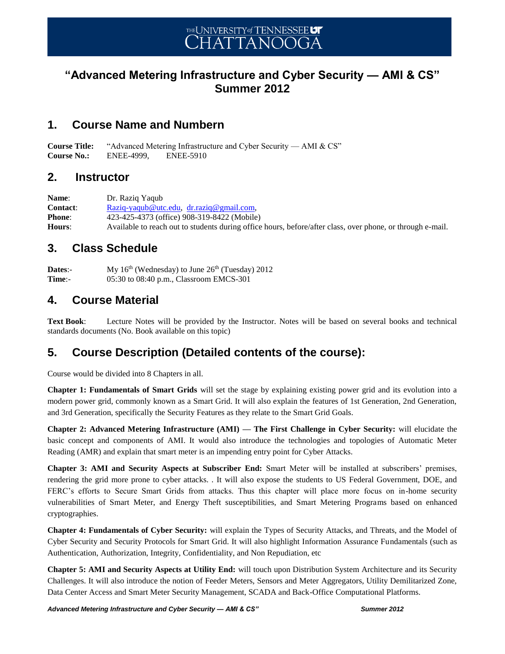## **"Advanced Metering Infrastructure and Cyber Security — AMI & CS" Summer 2012**

## **1. Course Name and Numbern**

**Course Title:** "Advanced Metering Infrastructure and Cyber Security — AMI & CS" **Course No.:** ENEE-4999, ENEE-5910

#### **2. Instructor**

**Name**: Dr. Raziq Yaqub Contact: [Raziq-yaqub@utc.edu,](mailto:Raziq-yaqub@utc.edu) [dr.raziq@gmail.com,](mailto:dr.raziq@gmail.com) **Phone**: 423-425-4373 (office) 908-319-8422 (Mobile) **Hours**: Available to reach out to students during office hours, before/after class, over phone, or through e-mail.

## **3. Class Schedule**

**Dates:**- My  $16<sup>th</sup>$  (Wednesday) to June  $26<sup>th</sup>$  (Tuesday) 2012 **Time**:- 05:30 to 08:40 p.m., Classroom EMCS-301

## **4. Course Material**

**Text Book**: Lecture Notes will be provided by the Instructor. Notes will be based on several books and technical standards documents (No. Book available on this topic)

## **5. Course Description (Detailed contents of the course):**

Course would be divided into 8 Chapters in all.

**Chapter 1: Fundamentals of Smart Grids** will set the stage by explaining existing power grid and its evolution into a modern power grid, commonly known as a Smart Grid. It will also explain the features of 1st Generation, 2nd Generation, and 3rd Generation, specifically the Security Features as they relate to the Smart Grid Goals.

**Chapter 2: Advanced Metering Infrastructure (AMI) — The First Challenge in Cyber Security:** will elucidate the basic concept and components of AMI. It would also introduce the technologies and topologies of Automatic Meter Reading (AMR) and explain that smart meter is an impending entry point for Cyber Attacks.

**Chapter 3: AMI and Security Aspects at Subscriber End:** Smart Meter will be installed at subscribers' premises, rendering the grid more prone to cyber attacks. . It will also expose the students to US Federal Government, DOE, and FERC's efforts to Secure Smart Grids from attacks. Thus this chapter will place more focus on in-home security vulnerabilities of Smart Meter, and Energy Theft susceptibilities, and Smart Metering Programs based on enhanced cryptographies.

**Chapter 4: Fundamentals of Cyber Security:** will explain the Types of Security Attacks, and Threats, and the Model of Cyber Security and Security Protocols for Smart Grid. It will also highlight Information Assurance Fundamentals (such as Authentication, Authorization, Integrity, Confidentiality, and Non Repudiation, etc

**Chapter 5: AMI and Security Aspects at Utility End:** will touch upon Distribution System Architecture and its Security Challenges. It will also introduce the notion of Feeder Meters, Sensors and Meter Aggregators, Utility Demilitarized Zone, Data Center Access and Smart Meter Security Management, SCADA and Back-Office Computational Platforms.

*Advanced Metering Infrastructure and Cyber Security — AMI & CS" Summer 2012*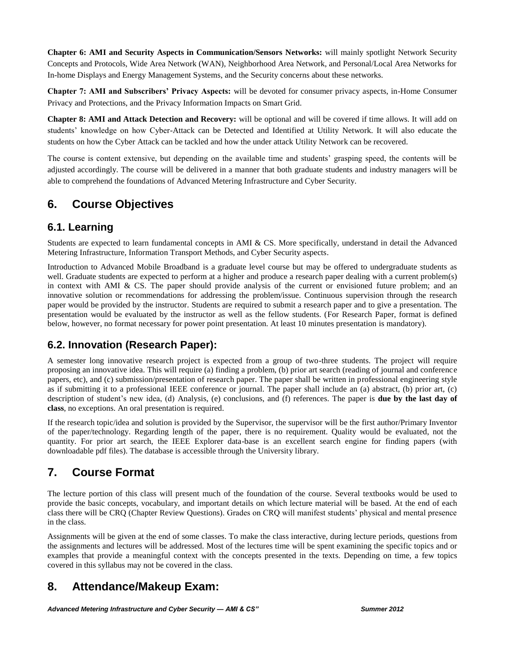**Chapter 6: AMI and Security Aspects in Communication/Sensors Networks:** will mainly spotlight Network Security Concepts and Protocols, Wide Area Network (WAN), Neighborhood Area Network, and Personal/Local Area Networks for In-home Displays and Energy Management Systems, and the Security concerns about these networks.

**Chapter 7: AMI and Subscribers' Privacy Aspects:** will be devoted for consumer privacy aspects, in-Home Consumer Privacy and Protections, and the Privacy Information Impacts on Smart Grid.

**Chapter 8: AMI and Attack Detection and Recovery:** will be optional and will be covered if time allows. It will add on students' knowledge on how Cyber-Attack can be Detected and Identified at Utility Network. It will also educate the students on how the Cyber Attack can be tackled and how the under attack Utility Network can be recovered.

The course is content extensive, but depending on the available time and students' grasping speed, the contents will be adjusted accordingly. The course will be delivered in a manner that both graduate students and industry managers will be able to comprehend the foundations of Advanced Metering Infrastructure and Cyber Security.

## **6. Course Objectives**

#### **6.1. Learning**

Students are expected to learn fundamental concepts in AMI & CS. More specifically, understand in detail the Advanced Metering Infrastructure, Information Transport Methods, and Cyber Security aspects.

Introduction to Advanced Mobile Broadband is a graduate level course but may be offered to undergraduate students as well. Graduate students are expected to perform at a higher and produce a research paper dealing with a current problem(s) in context with AMI & CS. The paper should provide analysis of the current or envisioned future problem; and an innovative solution or recommendations for addressing the problem/issue. Continuous supervision through the research paper would be provided by the instructor. Students are required to submit a research paper and to give a presentation. The presentation would be evaluated by the instructor as well as the fellow students. (For Research Paper, format is defined below, however, no format necessary for power point presentation. At least 10 minutes presentation is mandatory).

## **6.2. Innovation (Research Paper):**

A semester long innovative research project is expected from a group of two-three students. The project will require proposing an innovative idea. This will require (a) finding a problem, (b) prior art search (reading of journal and conference papers, etc), and (c) submission/presentation of research paper. The paper shall be written in professional engineering style as if submitting it to a professional IEEE conference or journal. The paper shall include an (a) abstract, (b) prior art, (c) description of student's new idea, (d) Analysis, (e) conclusions, and (f) references. The paper is **due by the last day of class**, no exceptions. An oral presentation is required.

If the research topic/idea and solution is provided by the Supervisor, the supervisor will be the first author/Primary Inventor of the paper/technology. Regarding length of the paper, there is no requirement. Quality would be evaluated, not the quantity. For prior art search, the IEEE Explorer data-base is an excellent search engine for finding papers (with downloadable pdf files). The database is accessible through the University library.

## **7. Course Format**

The lecture portion of this class will present much of the foundation of the course. Several textbooks would be used to provide the basic concepts, vocabulary, and important details on which lecture material will be based. At the end of each class there will be CRQ (Chapter Review Questions). Grades on CRQ will manifest students' physical and mental presence in the class.

Assignments will be given at the end of some classes. To make the class interactive, during lecture periods, questions from the assignments and lectures will be addressed. Most of the lectures time will be spent examining the specific topics and or examples that provide a meaningful context with the concepts presented in the texts. Depending on time, a few topics covered in this syllabus may not be covered in the class.

## **8. Attendance/Makeup Exam:**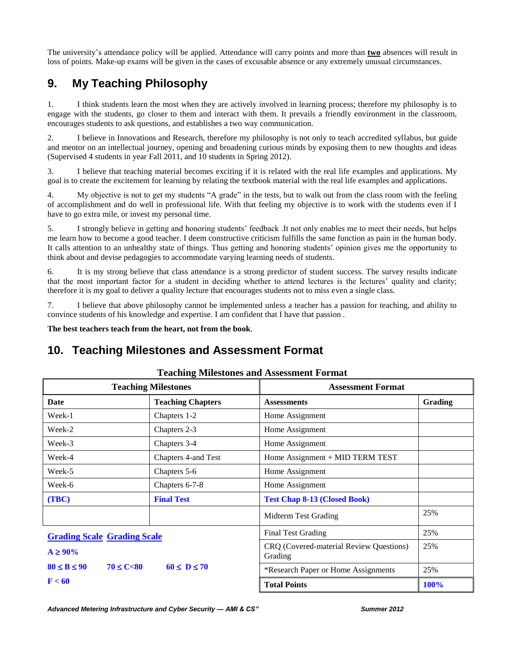The university's attendance policy will be applied. Attendance will carry points and more than **two** absences will result in loss of points. Make-up exams will be given in the cases of excusable absence or any extremely unusual circumstances.

# **9. My Teaching Philosophy**

1. I think students learn the most when they are actively involved in learning process; therefore my philosophy is to engage with the students, go closer to them and interact with them. It prevails a friendly environment in the classroom, encourages students to ask questions, and establishes a two way communication.

2. I believe in Innovations and Research, therefore my philosophy is not only to teach accredited syllabus, but guide and mentor on an intellectual journey, opening and broadening curious minds by exposing them to new thoughts and ideas (Supervised 4 students in year Fall 2011, and 10 students in Spring 2012).

3. I believe that teaching material becomes exciting if it is related with the real life examples and applications. My goal is to create the excitement for learning by relating the textbook material with the real life examples and applications.

4. My objective is not to get my students "A grade" in the tests, but to walk out from the class room with the feeling of accomplishment and do well in professional life. With that feeling my objective is to work with the students even if I have to go extra mile, or invest my personal time.

5. I strongly believe in getting and honoring students' feedback .It not only enables me to meet their needs, but helps me learn how to become a good teacher. I deem constructive criticism fulfills the same function as pain in the human body. It calls attention to an unhealthy state of things. Thus getting and honoring students' opinion gives me the opportunity to think about and devise pedagogies to accommodate varying learning needs of students.

6. It is my strong believe that class attendance is a strong predictor of student success. The survey results indicate that the most important factor for a student in deciding whether to attend lectures is the lectures' quality and clarity; therefore it is my goal to deliver a quality lecture that encourages students not to miss even a single class.

7. I believe that above philosophy cannot be implemented unless a teacher has a passion for teaching, and ability to convince students of his knowledge and expertise. I am confident that I have that passion .

**The best teachers teach from the heart, not from the book**.

## **10. Teaching Milestones and Assessment Format**

| <b>Teaching Milestones</b>             |                          | <b>Assessment Format</b>                           |             |
|----------------------------------------|--------------------------|----------------------------------------------------|-------------|
| Date                                   | <b>Teaching Chapters</b> | <b>Assessments</b>                                 | Grading     |
| Week-1                                 | Chapters 1-2             | Home Assignment                                    |             |
| Week-2                                 | Chapters 2-3             | Home Assignment                                    |             |
| Week-3                                 | Chapters 3-4             | Home Assignment                                    |             |
| Week-4                                 | Chapters 4-and Test      | Home Assignment + MID TERM TEST                    |             |
| Week-5                                 | Chapters 5-6             | Home Assignment                                    |             |
| Week-6                                 | Chapters 6-7-8           | Home Assignment                                    |             |
| (TBC)                                  | <b>Final Test</b>        | <b>Test Chap 8-13 (Closed Book)</b>                |             |
|                                        |                          | Midterm Test Grading                               | 25%         |
| <b>Grading Scale Grading Scale</b>     |                          | <b>Final Test Grading</b>                          | 25%         |
| $A \geq 90\%$                          |                          | CRQ (Covered-material Review Questions)<br>Grading | 25%         |
| $80 \leq B \leq 90$<br>$70 \le C < 80$ | $60 \le D \le 70$        | *Research Paper or Home Assignments                | 25%         |
| F < 60                                 |                          | <b>Total Points</b>                                | <b>100%</b> |

#### **Teaching Milestones and Assessment Format**